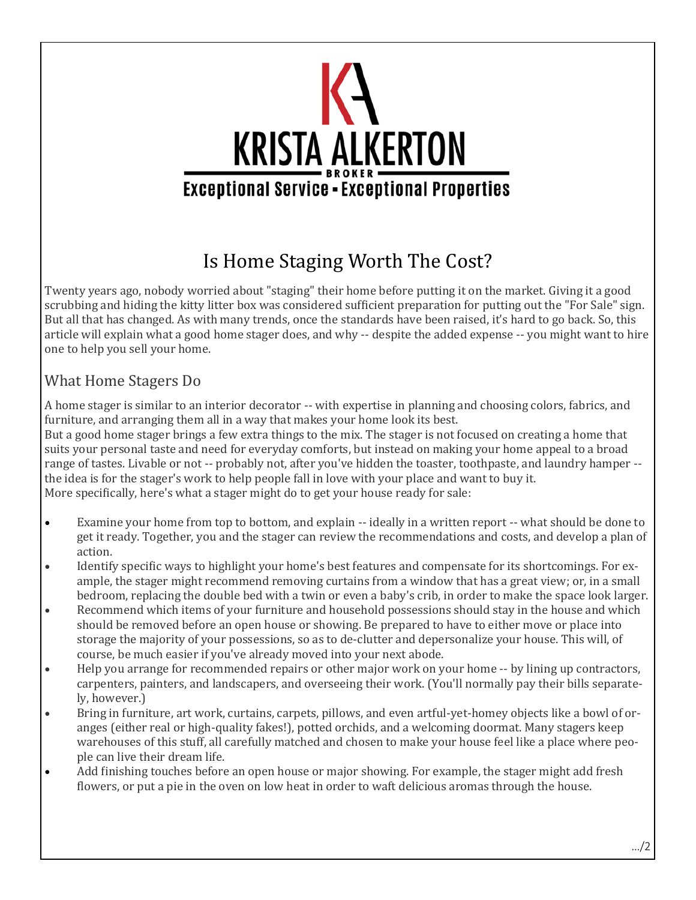

## Is Home Staging Worth The Cost?

Twenty years ago, nobody worried about "staging" their home before putting it on the market. Giving it a good scrubbing and hiding the kitty litter box was considered sufficient preparation for putting out the "For Sale" sign. But all that has changed. As with many trends, once the standards have been raised, it's hard to go back. So, this article will explain what a good home stager does, and why -- despite the added expense -- you might want to hire one to help you sell your home.

## What Home Stagers Do

A home stager is similar to an interior decorator -- with expertise in planning and choosing colors, fabrics, and furniture, and arranging them all in a way that makes your home look its best.

But a good home stager brings a few extra things to the mix. The stager is not focused on creating a home that suits your personal taste and need for everyday comforts, but instead on making your home appeal to a broad range of tastes. Livable or not -- probably not, after you've hidden the toaster, toothpaste, and laundry hamper - the idea is for the stager's work to help people fall in love with your place and want to buy it. More specifically, here's what a stager might do to get your house ready for sale:

- Examine your home from top to bottom, and explain -- ideally in a written report -- what should be done to get it ready. Together, you and the stager can review the recommendations and costs, and develop a plan of action.
- Identify specific ways to highlight your home's best features and compensate for its shortcomings. For example, the stager might recommend removing curtains from a window that has a great view; or, in a small bedroom, replacing the double bed with a twin or even a baby's crib, in order to make the space look larger.
- Recommend which items of your furniture and household possessions should stay in the house and which should be removed before an open house or showing. Be prepared to have to either move or place into storage the majority of your possessions, so as to de-clutter and depersonalize your house. This will, of course, be much easier if you've already moved into your next abode.
- Help you arrange for recommended repairs or other major work on your home -- by lining up contractors, carpenters, painters, and landscapers, and overseeing their work. (You'll normally pay their bills separately, however.)
- Bring in furniture, art work, curtains, carpets, pillows, and even artful-yet-homey objects like a bowl of oranges (either real or high-quality fakes!), potted orchids, and a welcoming doormat. Many stagers keep warehouses of this stuff, all carefully matched and chosen to make your house feel like a place where people can live their dream life.
- Add finishing touches before an open house or major showing. For example, the stager might add fresh flowers, or put a pie in the oven on low heat in order to waft delicious aromas through the house.